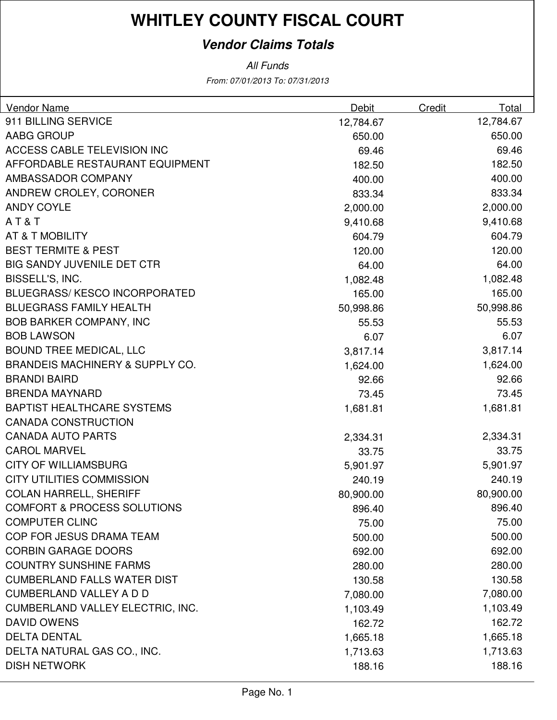#### **Vendor Claims Totals**

| <b>Vendor Name</b>                         | Debit     | Credit | Total     |
|--------------------------------------------|-----------|--------|-----------|
| 911 BILLING SERVICE                        | 12,784.67 |        | 12,784.67 |
| AABG GROUP                                 | 650.00    |        | 650.00    |
| ACCESS CABLE TELEVISION INC                | 69.46     |        | 69.46     |
| AFFORDABLE RESTAURANT EQUIPMENT            | 182.50    |        | 182.50    |
| AMBASSADOR COMPANY                         | 400.00    |        | 400.00    |
| ANDREW CROLEY, CORONER                     | 833.34    |        | 833.34    |
| <b>ANDY COYLE</b>                          | 2,000.00  |        | 2,000.00  |
| AT&T                                       | 9,410.68  |        | 9,410.68  |
| AT & T MOBILITY                            | 604.79    |        | 604.79    |
| <b>BEST TERMITE &amp; PEST</b>             | 120.00    |        | 120.00    |
| <b>BIG SANDY JUVENILE DET CTR</b>          | 64.00     |        | 64.00     |
| BISSELL'S, INC.                            | 1,082.48  |        | 1,082.48  |
| <b>BLUEGRASS/KESCO INCORPORATED</b>        | 165.00    |        | 165.00    |
| <b>BLUEGRASS FAMILY HEALTH</b>             | 50,998.86 |        | 50,998.86 |
| <b>BOB BARKER COMPANY, INC</b>             | 55.53     |        | 55.53     |
| <b>BOB LAWSON</b>                          | 6.07      |        | 6.07      |
| <b>BOUND TREE MEDICAL, LLC</b>             | 3,817.14  |        | 3,817.14  |
| <b>BRANDEIS MACHINERY &amp; SUPPLY CO.</b> | 1,624.00  |        | 1,624.00  |
| <b>BRANDI BAIRD</b>                        | 92.66     |        | 92.66     |
| <b>BRENDA MAYNARD</b>                      | 73.45     |        | 73.45     |
| <b>BAPTIST HEALTHCARE SYSTEMS</b>          | 1,681.81  |        | 1,681.81  |
| <b>CANADA CONSTRUCTION</b>                 |           |        |           |
| <b>CANADA AUTO PARTS</b>                   | 2,334.31  |        | 2,334.31  |
| <b>CAROL MARVEL</b>                        | 33.75     |        | 33.75     |
| <b>CITY OF WILLIAMSBURG</b>                | 5,901.97  |        | 5,901.97  |
| <b>CITY UTILITIES COMMISSION</b>           | 240.19    |        | 240.19    |
| <b>COLAN HARRELL, SHERIFF</b>              | 80,900.00 |        | 80,900.00 |
| <b>COMFORT &amp; PROCESS SOLUTIONS</b>     | 896.40    |        | 896.40    |
| <b>COMPUTER CLINC</b>                      | 75.00     |        | 75.00     |
| COP FOR JESUS DRAMA TEAM                   | 500.00    |        | 500.00    |
| <b>CORBIN GARAGE DOORS</b>                 | 692.00    |        | 692.00    |
| <b>COUNTRY SUNSHINE FARMS</b>              | 280.00    |        | 280.00    |
| <b>CUMBERLAND FALLS WATER DIST</b>         | 130.58    |        | 130.58    |
| <b>CUMBERLAND VALLEY A D D</b>             | 7,080.00  |        | 7,080.00  |
| CUMBERLAND VALLEY ELECTRIC, INC.           | 1,103.49  |        | 1,103.49  |
| <b>DAVID OWENS</b>                         | 162.72    |        | 162.72    |
| <b>DELTA DENTAL</b>                        | 1,665.18  |        | 1,665.18  |
| DELTA NATURAL GAS CO., INC.                | 1,713.63  |        | 1,713.63  |
| <b>DISH NETWORK</b>                        | 188.16    |        | 188.16    |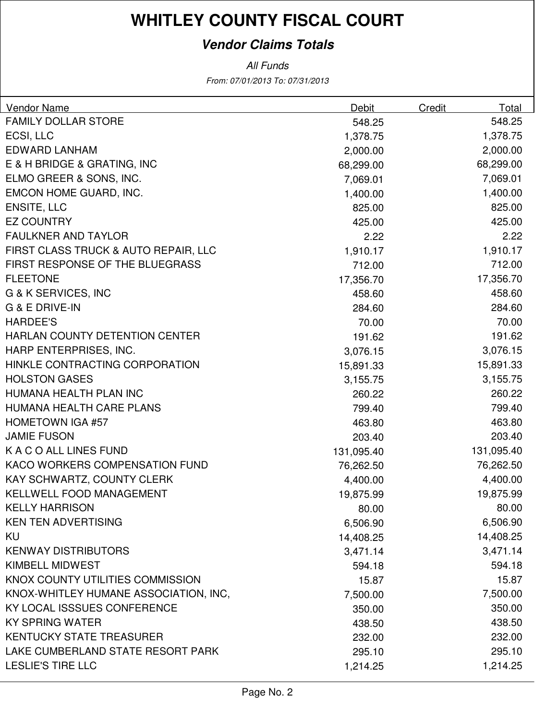#### **Vendor Claims Totals**

| <b>Vendor Name</b>                    | Debit      | Credit | Total      |
|---------------------------------------|------------|--------|------------|
| <b>FAMILY DOLLAR STORE</b>            | 548.25     |        | 548.25     |
| ECSI, LLC                             | 1,378.75   |        | 1,378.75   |
| <b>EDWARD LANHAM</b>                  | 2,000.00   |        | 2,000.00   |
| E & H BRIDGE & GRATING, INC           | 68,299.00  |        | 68,299.00  |
| ELMO GREER & SONS, INC.               | 7,069.01   |        | 7,069.01   |
| EMCON HOME GUARD, INC.                | 1,400.00   |        | 1,400.00   |
| <b>ENSITE, LLC</b>                    | 825.00     |        | 825.00     |
| <b>EZ COUNTRY</b>                     | 425.00     |        | 425.00     |
| <b>FAULKNER AND TAYLOR</b>            | 2.22       |        | 2.22       |
| FIRST CLASS TRUCK & AUTO REPAIR, LLC  | 1,910.17   |        | 1,910.17   |
| FIRST RESPONSE OF THE BLUEGRASS       | 712.00     |        | 712.00     |
| <b>FLEETONE</b>                       | 17,356.70  |        | 17,356.70  |
| G & K SERVICES, INC                   | 458.60     |        | 458.60     |
| <b>G &amp; E DRIVE-IN</b>             | 284.60     |        | 284.60     |
| <b>HARDEE'S</b>                       | 70.00      |        | 70.00      |
| HARLAN COUNTY DETENTION CENTER        | 191.62     |        | 191.62     |
| HARP ENTERPRISES, INC.                | 3,076.15   |        | 3,076.15   |
| HINKLE CONTRACTING CORPORATION        | 15,891.33  |        | 15,891.33  |
| <b>HOLSTON GASES</b>                  | 3,155.75   |        | 3,155.75   |
| HUMANA HEALTH PLAN INC                | 260.22     |        | 260.22     |
| HUMANA HEALTH CARE PLANS              | 799.40     |        | 799.40     |
| <b>HOMETOWN IGA #57</b>               | 463.80     |        | 463.80     |
| <b>JAMIE FUSON</b>                    | 203.40     |        | 203.40     |
| K A C O ALL LINES FUND                | 131,095.40 |        | 131,095.40 |
| KACO WORKERS COMPENSATION FUND        | 76,262.50  |        | 76,262.50  |
| KAY SCHWARTZ, COUNTY CLERK            | 4,400.00   |        | 4,400.00   |
| <b>KELLWELL FOOD MANAGEMENT</b>       | 19,875.99  |        | 19,875.99  |
| <b>KELLY HARRISON</b>                 | 80.00      |        | 80.00      |
| <b>KEN TEN ADVERTISING</b>            | 6,506.90   |        | 6,506.90   |
| KU                                    | 14,408.25  |        | 14,408.25  |
| <b>KENWAY DISTRIBUTORS</b>            | 3,471.14   |        | 3,471.14   |
| <b>KIMBELL MIDWEST</b>                | 594.18     |        | 594.18     |
| KNOX COUNTY UTILITIES COMMISSION      | 15.87      |        | 15.87      |
| KNOX-WHITLEY HUMANE ASSOCIATION, INC, | 7,500.00   |        | 7,500.00   |
| KY LOCAL ISSSUES CONFERENCE           | 350.00     |        | 350.00     |
| <b>KY SPRING WATER</b>                | 438.50     |        | 438.50     |
| <b>KENTUCKY STATE TREASURER</b>       | 232.00     |        | 232.00     |
| LAKE CUMBERLAND STATE RESORT PARK     | 295.10     |        | 295.10     |
| <b>LESLIE'S TIRE LLC</b>              | 1,214.25   |        | 1,214.25   |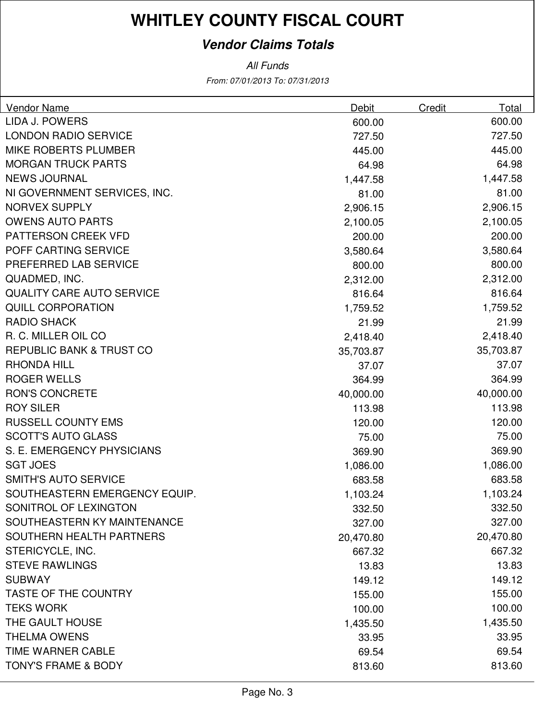#### **Vendor Claims Totals**

| <b>Vendor Name</b>                  | Debit     | Credit | Total     |
|-------------------------------------|-----------|--------|-----------|
| LIDA J. POWERS                      | 600.00    |        | 600.00    |
| <b>LONDON RADIO SERVICE</b>         | 727.50    |        | 727.50    |
| <b>MIKE ROBERTS PLUMBER</b>         | 445.00    |        | 445.00    |
| <b>MORGAN TRUCK PARTS</b>           | 64.98     |        | 64.98     |
| <b>NEWS JOURNAL</b>                 | 1,447.58  |        | 1,447.58  |
| NI GOVERNMENT SERVICES, INC.        | 81.00     |        | 81.00     |
| <b>NORVEX SUPPLY</b>                | 2,906.15  |        | 2,906.15  |
| <b>OWENS AUTO PARTS</b>             | 2,100.05  |        | 2,100.05  |
| PATTERSON CREEK VFD                 | 200.00    |        | 200.00    |
| POFF CARTING SERVICE                | 3,580.64  |        | 3,580.64  |
| PREFERRED LAB SERVICE               | 800.00    |        | 800.00    |
| QUADMED, INC.                       | 2,312.00  |        | 2,312.00  |
| QUALITY CARE AUTO SERVICE           | 816.64    |        | 816.64    |
| <b>QUILL CORPORATION</b>            | 1,759.52  |        | 1,759.52  |
| <b>RADIO SHACK</b>                  | 21.99     |        | 21.99     |
| R. C. MILLER OIL CO                 | 2,418.40  |        | 2,418.40  |
| <b>REPUBLIC BANK &amp; TRUST CO</b> | 35,703.87 |        | 35,703.87 |
| <b>RHONDA HILL</b>                  | 37.07     |        | 37.07     |
| <b>ROGER WELLS</b>                  | 364.99    |        | 364.99    |
| <b>RON'S CONCRETE</b>               | 40,000.00 |        | 40,000.00 |
| <b>ROY SILER</b>                    | 113.98    |        | 113.98    |
| <b>RUSSELL COUNTY EMS</b>           | 120.00    |        | 120.00    |
| <b>SCOTT'S AUTO GLASS</b>           | 75.00     |        | 75.00     |
| S. E. EMERGENCY PHYSICIANS          | 369.90    |        | 369.90    |
| <b>SGT JOES</b>                     | 1,086.00  |        | 1,086.00  |
| <b>SMITH'S AUTO SERVICE</b>         | 683.58    |        | 683.58    |
| SOUTHEASTERN EMERGENCY EQUIP.       | 1,103.24  |        | 1,103.24  |
| SONITROL OF LEXINGTON               | 332.50    |        | 332.50    |
| SOUTHEASTERN KY MAINTENANCE         | 327.00    |        | 327.00    |
| SOUTHERN HEALTH PARTNERS            | 20,470.80 |        | 20,470.80 |
| STERICYCLE, INC.                    | 667.32    |        | 667.32    |
| <b>STEVE RAWLINGS</b>               | 13.83     |        | 13.83     |
| <b>SUBWAY</b>                       | 149.12    |        | 149.12    |
| <b>TASTE OF THE COUNTRY</b>         | 155.00    |        | 155.00    |
| <b>TEKS WORK</b>                    | 100.00    |        | 100.00    |
| THE GAULT HOUSE                     | 1,435.50  |        | 1,435.50  |
| <b>THELMA OWENS</b>                 | 33.95     |        | 33.95     |
| TIME WARNER CABLE                   | 69.54     |        | 69.54     |
| <b>TONY'S FRAME &amp; BODY</b>      | 813.60    |        | 813.60    |